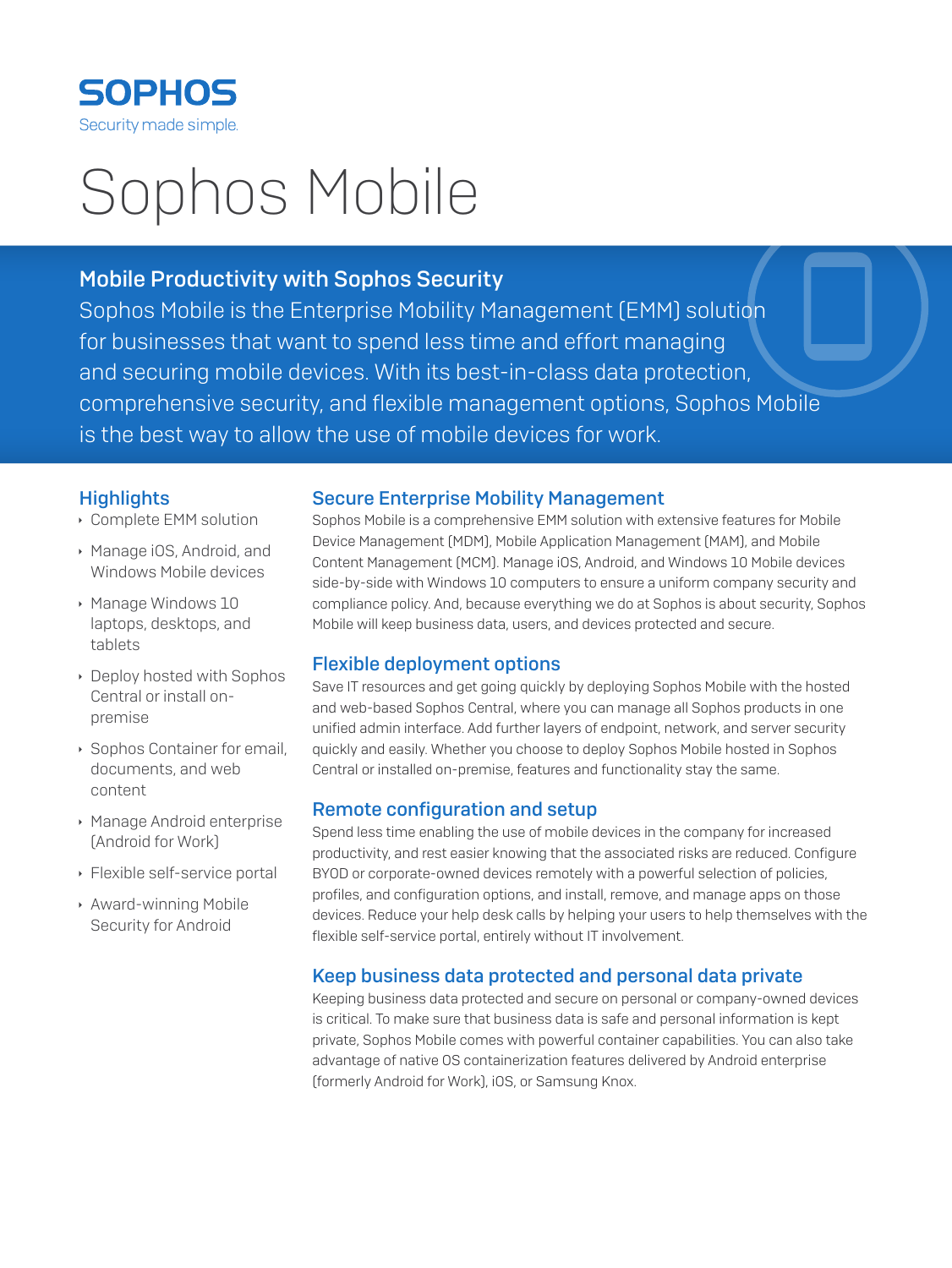

# Sophos Mobile

# Mobile Productivity with Sophos Security

Sophos Mobile is the Enterprise Mobility Management (EMM) solution for businesses that want to spend less time and effort managing and securing mobile devices. With its best-in-class data protection, comprehensive security, and flexible management options, Sophos Mobile is the best way to allow the use of mobile devices for work.

# **Highlights**

- **Complete EMM solution**
- **Manage iOS, Android, and** Windows Mobile devices
- **Manage Windows 10** laptops, desktops, and tablets
- **Deploy hosted with Sophos** Central or install onpremise
- **Sophos Container for email,** documents, and web content
- **Manage Android enterprise** (Android for Work)
- $\cdot$  Flexible self-service portal
- **Award-winning Mobile** Security for Android

#### Secure Enterprise Mobility Management

Sophos Mobile is a comprehensive EMM solution with extensive features for Mobile Device Management (MDM), Mobile Application Management (MAM), and Mobile Content Management (MCM). Manage iOS, Android, and Windows 10 Mobile devices side-by-side with Windows 10 computers to ensure a uniform company security and compliance policy. And, because everything we do at Sophos is about security, Sophos Mobile will keep business data, users, and devices protected and secure.

# Flexible deployment options

Save IT resources and get going quickly by deploying Sophos Mobile with the hosted and web-based Sophos Central, where you can manage all Sophos products in one unified admin interface. Add further layers of endpoint, network, and server security quickly and easily. Whether you choose to deploy Sophos Mobile hosted in Sophos Central or installed on-premise, features and functionality stay the same.

# Remote configuration and setup

Spend less time enabling the use of mobile devices in the company for increased productivity, and rest easier knowing that the associated risks are reduced. Configure BYOD or corporate-owned devices remotely with a powerful selection of policies, profiles, and configuration options, and install, remove, and manage apps on those devices. Reduce your help desk calls by helping your users to help themselves with the flexible self-service portal, entirely without IT involvement.

# Keep business data protected and personal data private

Keeping business data protected and secure on personal or company-owned devices is critical. To make sure that business data is safe and personal information is kept private, Sophos Mobile comes with powerful container capabilities. You can also take advantage of native OS containerization features delivered by Android enterprise (formerly Android for Work), iOS, or Samsung Knox.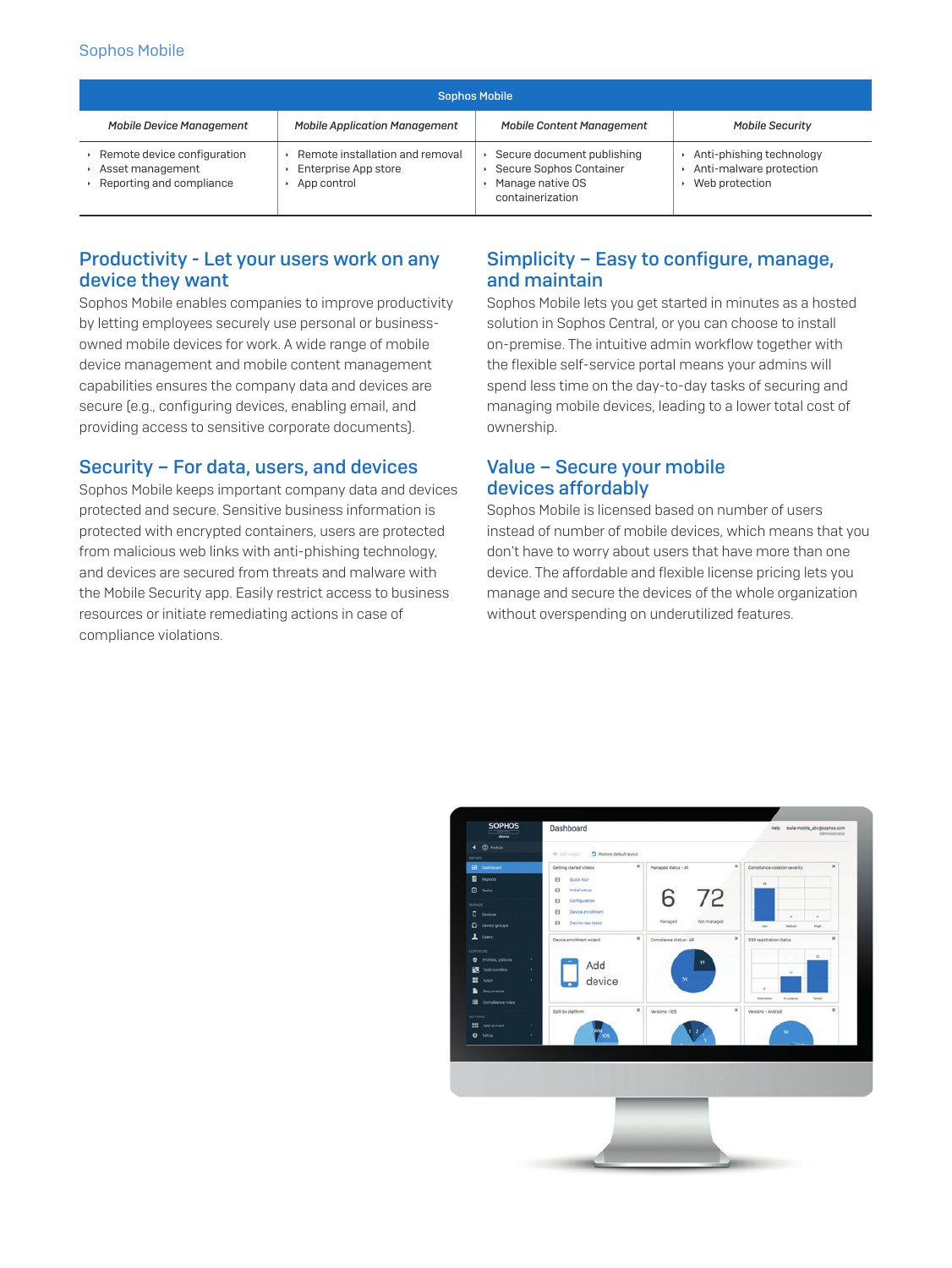#### **Sophos Mobile**

| <b>Sophos Mobile</b>                                                        |                                                                        |                                                                                               |                                                                         |  |
|-----------------------------------------------------------------------------|------------------------------------------------------------------------|-----------------------------------------------------------------------------------------------|-------------------------------------------------------------------------|--|
| <b>Mobile Device Management</b>                                             | <b>Mobile Application Management</b>                                   | <b>Mobile Content Management</b>                                                              | <b>Mobile Security</b>                                                  |  |
| Remote device configuration<br>Asset management<br>Reporting and compliance | Remote installation and removal<br>Enterprise App store<br>App control | Secure document publishing<br>Secure Sophos Container<br>Manage native OS<br>containerization | ▶ Anti-phishing technology<br>Anti-malware protection<br>Web protection |  |

# Productivity - Let your users work on any device they want

Sophos Mobile enables companies to improve productivity by letting employees securely use personal or businessowned mobile devices for work. A wide range of mobile device management and mobile content management capabilities ensures the company data and devices are secure [e.g., configuring devices, enabling email, and providing access to sensitive corporate documents).

# Security - For data, users, and devices

Sophos Mobile keeps important company data and devices protected and secure. Sensitive business information is protected with encrypted containers, users are protected from malicious web links with anti-phishing technology, and devices are secured from threats and malware with the Mobile Security app. Easily restrict access to business resources or initiate remediating actions in case of compliance violations.

# Simplicity - Easy to configure, manage, and maintain

Sophos Mobile lets you get started in minutes as a hosted solution in Sophos Central, or you can choose to install on-premise. The intuitive admin workflow together with the flexible self-service portal means your admins will spend less time on the day-to-day tasks of securing and managing mobile devices, leading to a lower total cost of ownership.

#### Value - Secure your mobile devices affordably

Sophos Mobile is licensed based on number of users instead of number of mobile devices, which means that you don't have to worry about users that have more than one device. The affordable and flexible license pricing lets you manage and secure the devices of the whole organization without overspending on underutilized features.

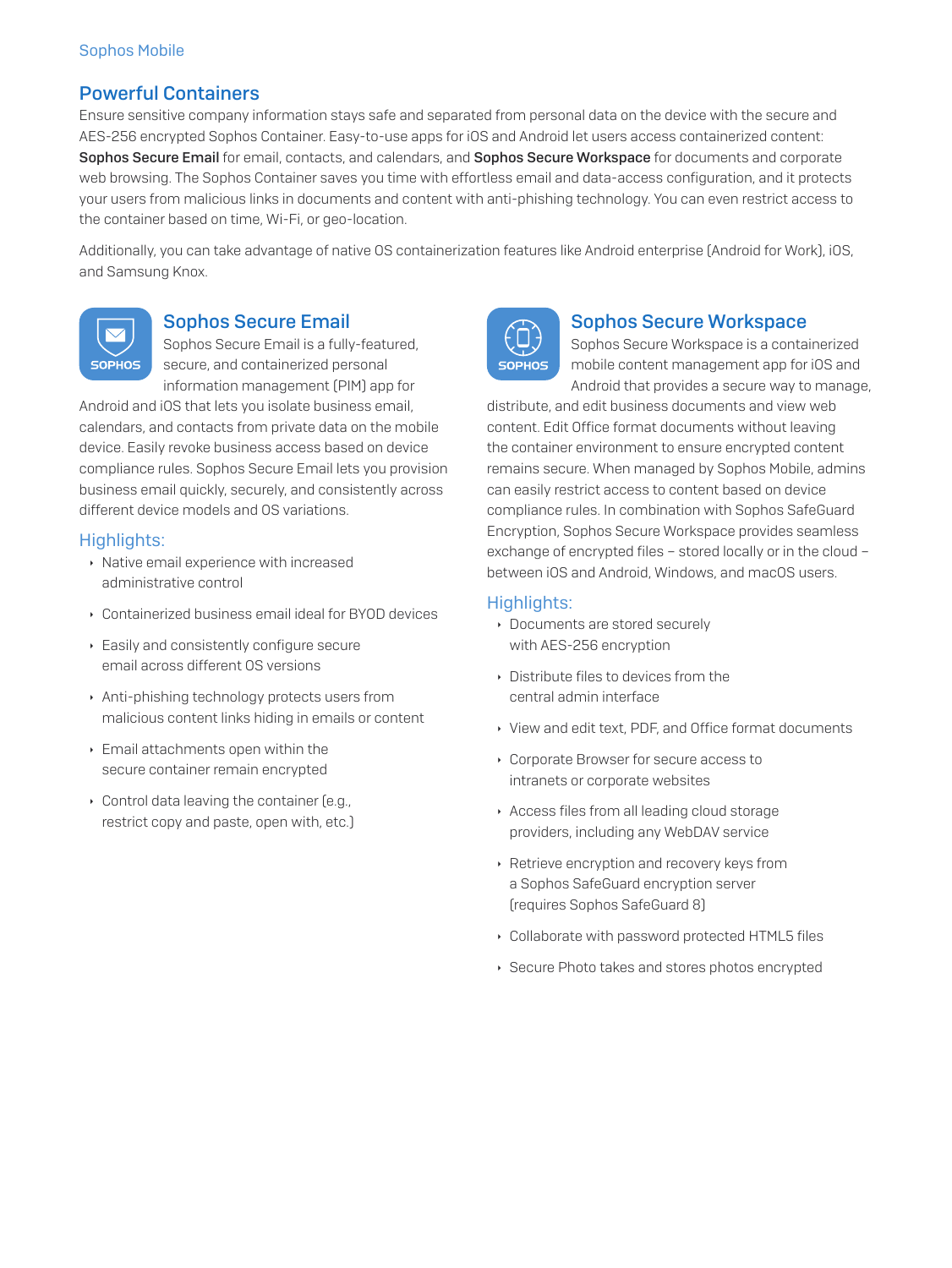# Powerful Containers

Ensure sensitive company information stays safe and separated from personal data on the device with the secure and AES-256 encrypted Sophos Container. Easy-to-use apps for iOS and Android let users access containerized content: Sophos Secure Email for email, contacts, and calendars, and Sophos Secure Workspace for documents and corporate web browsing. The Sophos Container saves you time with effortless email and data-access configuration, and it protects your users from malicious links in documents and content with anti-phishing technology. You can even restrict access to the container based on time, Wi-Fi, or geo-location.

Additionally, you can take advantage of native OS containerization features like Android enterprise (Android for Work), iOS, and Samsung Knox.



# Sophos Secure Email

Sophos Secure Email is a fully-featured, secure, and containerized personal information management (PIM) app for

Android and iOS that lets you isolate business email, calendars, and contacts from private data on the mobile device. Easily revoke business access based on device compliance rules. Sophos Secure Email lets you provision business email quickly, securely, and consistently across different device models and OS variations.

#### Highlights:

- $\cdot$  Native email experience with increased administrative control
- **Containerized business email ideal for BYOD devices**
- **Easily and consistently configure secure** email across different OS versions
- **Anti-phishing technology protects users from** malicious content links hiding in emails or content
- $\cdot$  Email attachments open within the secure container remain encrypted
- $\cdot$  Control data leaving the container (e.g., restrict copy and paste, open with, etc.)



#### Sophos Secure Workspace

Sophos Secure Workspace is a containerized mobile content management app for iOS and Android that provides a secure way to manage,

distribute, and edit business documents and view web content. Edit Office format documents without leaving the container environment to ensure encrypted content remains secure. When managed by Sophos Mobile, admins can easily restrict access to content based on device compliance rules. In combination with Sophos SafeGuard Encryption, Sophos Secure Workspace provides seamless exchange of encrypted files – stored locally or in the cloud – between iOS and Android, Windows, and macOS users.

#### Highlights:

- **Documents are stored securely** with AES-256 encryption
- $\rightarrow$  Distribute files to devices from the central admin interface
- In View and edit text, PDF, and Office format documents
- ▸ Corporate Browser for secure access to intranets or corporate websites
- **Access files from all leading cloud storage** providers, including any WebDAV service
- **EXEC** Retrieve encryption and recovery keys from a Sophos SafeGuard encryption server (requires Sophos SafeGuard 8)
- **Collaborate with password protected HTML5 files**
- ▸ Secure Photo takes and stores photos encrypted